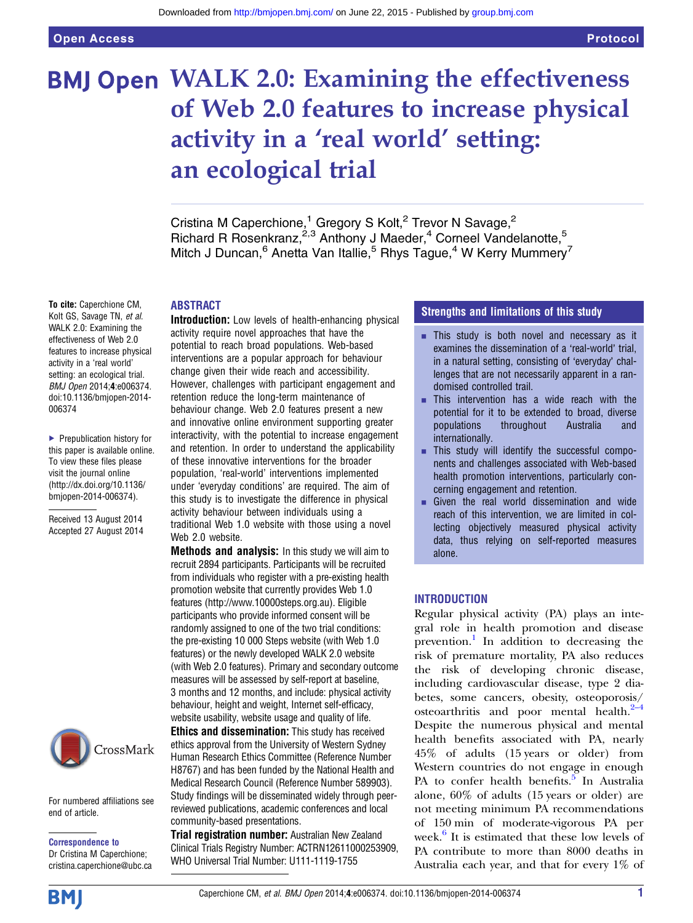# BMJ Open WALK 2.0: Examining the effectiveness of Web 2.0 features to increase physical activity in a 'real world' setting: an ecological trial

Cristina M Caperchione,<sup>1</sup> Gregory S Kolt,<sup>2</sup> Trevor N Savage,<sup>2</sup> Richard R Rosenkranz, <sup>2,3</sup> Anthony J Maeder, <sup>4</sup> Corneel Vandelanotte, <sup>5</sup> Mitch J Duncan,  $6$  Anetta Van Itallie,  $5$  Rhys Tague,  $4$  W Kerry Mummery $^7$ 

#### ABSTRACT

To cite: Caperchione CM, Kolt GS, Savage TN, et al. WALK 2.0: Examining the effectiveness of Web 2.0 features to increase physical activity in a 'real world' setting: an ecological trial. BMJ Open 2014;4:e006374. doi:10.1136/bmjopen-2014- 006374

▶ Prepublication history for this paper is available online. To view these files please visit the journal online [\(http://dx.doi.org/10.1136/](http://dx.doi.org/10.1136/bmjopen-2014-006374) [bmjopen-2014-006374](http://dx.doi.org/10.1136/bmjopen-2014-006374)).

Received 13 August 2014 Accepted 27 August 2014



For numbered affiliations see end of article.

Correspondence to Dr Cristina M Caperchione; cristina.caperchione@ubc.ca

Introduction: Low levels of health-enhancing physical activity require novel approaches that have the potential to reach broad populations. Web-based interventions are a popular approach for behaviour change given their wide reach and accessibility. However, challenges with participant engagement and retention reduce the long-term maintenance of behaviour change. Web 2.0 features present a new and innovative online environment supporting greater interactivity, with the potential to increase engagement and retention. In order to understand the applicability of these innovative interventions for the broader population, 'real-world' interventions implemented under 'everyday conditions' are required. The aim of this study is to investigate the difference in physical activity behaviour between individuals using a traditional Web 1.0 website with those using a novel Web 2.0 website.

**Methods and analysis:** In this study we will aim to recruit 2894 participants. Participants will be recruited from individuals who register with a pre-existing health promotion website that currently provides Web 1.0 features (<http://www.10000steps.org.au>). Eligible participants who provide informed consent will be randomly assigned to one of the two trial conditions: the pre-existing 10 000 Steps website (with Web 1.0 features) or the newly developed WALK 2.0 website (with Web 2.0 features). Primary and secondary outcome measures will be assessed by self-report at baseline, 3 months and 12 months, and include: physical activity behaviour, height and weight, Internet self-efficacy, website usability, website usage and quality of life.

Ethics and dissemination: This study has received ethics approval from the University of Western Sydney Human Research Ethics Committee (Reference Number H8767) and has been funded by the National Health and Medical Research Council (Reference Number 589903). Study findings will be disseminated widely through peerreviewed publications, academic conferences and local community-based presentations.

**Trial registration number:** Australian New Zealand Clinical Trials Registry Number: ACTRN12611000253909, WHO Universal Trial Number: U111-1119-1755

### Strengths and limitations of this study

- **EXTERGING** This study is both novel and necessary as it examines the dissemination of a 'real-world' trial, in a natural setting, consisting of 'everyday' challenges that are not necessarily apparent in a randomised controlled trail.
- This intervention has a wide reach with the potential for it to be extended to broad, diverse populations throughout Australia and internationally.
- **EXECUTE:** This study will identify the successful components and challenges associated with Web-based health promotion interventions, particularly concerning engagement and retention.
- $\blacksquare$  Given the real world dissemination and wide reach of this intervention, we are limited in collecting objectively measured physical activity data, thus relying on self-reported measures alone.

#### INTRODUCTION

Regular physical activity (PA) plays an integral role in health promotion and disease prevention.<sup>[1](#page-5-0)</sup> In addition to decreasing the risk of premature mortality, PA also reduces the risk of developing chronic disease, including cardiovascular disease, type 2 diabetes, some cancers, obesity, osteoporos[is/](#page-5-0) osteoarthritis and poor mental health. $2-4$ Despite the numerous physical and mental health benefits associated with PA, nearly 45% of adults (15 years or older) from Western countries do not engage in enough PA to confer health benefits.<sup>[5](#page-5-0)</sup> In Australia alone, 60% of adults (15 years or older) are not meeting minimum PA recommendations of 150 min of moderate-vigorous PA per week. $6$  It is estimated that these low levels of PA contribute to more than 8000 deaths in Australia each year, and that for every 1% of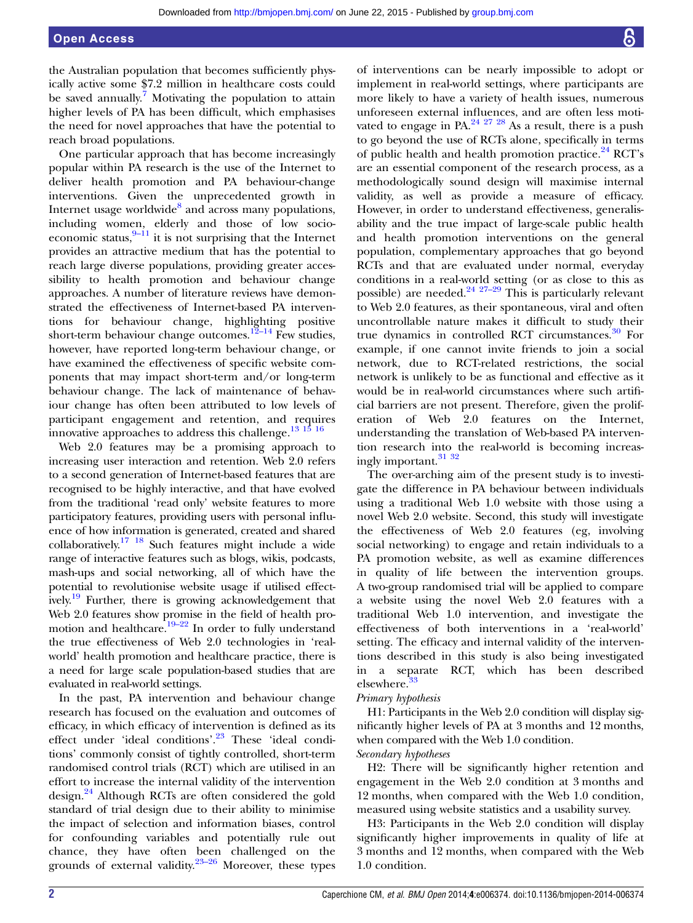### Open Access

the Australian population that becomes sufficiently physically active some \$7.2 million in healthcare costs could be saved annually.<sup>7</sup> Motivating the population to attain higher levels of PA has been difficult, which emphasises the need for novel approaches that have the potential to reach broad populations.

One particular approach that has become increasingly popular within PA research is the use of the Internet to deliver health promotion and PA behaviour-change interventions. Given the unprecedented growth in Internet usage worldwide $8$  and across many populations, including women, elderly and those of low socioeconomic status, $9-11$  $9-11$  it is not surprising that the Internet provides an attractive medium that has the potential to reach large diverse populations, providing greater accessibility to health promotion and behaviour change approaches. A number of literature reviews have demonstrated the effectiveness of Internet-based PA interventions for behaviour change, highlighting positive short-term behaviour change outcomes.<sup>[12](#page-6-0)–14</sup> Few studies, however, have reported long-term behaviour change, or have examined the effectiveness of specific website components that may impact short-term and/or long-term behaviour change. The lack of maintenance of behaviour change has often been attributed to low levels of participant engagement and retention, and requires innovative approaches to address this challenge.<sup>13 15</sup> <sup>16</sup>

Web 2.0 features may be a promising approach to increasing user interaction and retention. Web 2.0 refers to a second generation of Internet-based features that are recognised to be highly interactive, and that have evolved from the traditional 'read only' website features to more participatory features, providing users with personal influence of how information is generated, created and shared collaboratively[.17 18](#page-6-0) Such features might include a wide range of interactive features such as blogs, wikis, podcasts, mash-ups and social networking, all of which have the potential to revolutionise website usage if utilised effectively.<sup>19</sup> Further, there is growing acknowledgement that Web 2.0 features show promise in the field of health promotion and healthcare.<sup>19–22</sup> In order to fully understand the true effectiveness of Web 2.0 technologies in 'realworld' health promotion and healthcare practice, there is a need for large scale population-based studies that are evaluated in real-world settings.

In the past, PA intervention and behaviour change research has focused on the evaluation and outcomes of efficacy, in which efficacy of intervention is defined as its effect under 'ideal conditions'.<sup>[23](#page-6-0)</sup> These 'ideal conditions' commonly consist of tightly controlled, short-term randomised control trials (RCT) which are utilised in an effort to increase the internal validity of the intervention design.[24](#page-6-0) Although RCTs are often considered the gold standard of trial design due to their ability to minimise the impact of selection and information biases, control for confounding variables and potentially rule out chance, they have often been challenged on the grounds of external validity. $23-26$  $23-26$  Moreover, these types

of interventions can be nearly impossible to adopt or implement in real-world settings, where participants are more likely to have a variety of health issues, numerous unforeseen external influences, and are often less moti-vated to engage in PA.<sup>[24 27 28](#page-6-0)</sup> As a result, there is a push to go beyond the use of RCTs alone, specifically in terms of public health and health promotion practice. $^{24}$  $^{24}$  $^{24}$  RCT's are an essential component of the research process, as a methodologically sound design will maximise internal validity, as well as provide a measure of efficacy. However, in order to understand effectiveness, generalisability and the true impact of large-scale public health and health promotion interventions on the general population, complementary approaches that go beyond RCTs and that are evaluated under normal, everyday conditions in a real-world setting (or as close to this as possible) are needed. $24 \frac{27-29}{27-29}$  This is particularly relevant to Web 2.0 features, as their spontaneous, viral and often uncontrollable nature makes it difficult to study their true dynamics in controlled RCT circumstances.<sup>[30](#page-6-0)</sup> For example, if one cannot invite friends to join a social network, due to RCT-related restrictions, the social network is unlikely to be as functional and effective as it would be in real-world circumstances where such artificial barriers are not present. Therefore, given the proliferation of Web 2.0 features on the Internet, understanding the translation of Web-based PA intervention research into the real-world is becoming increasingly important.<sup>31</sup> <sup>32</sup>

The over-arching aim of the present study is to investigate the difference in PA behaviour between individuals using a traditional Web 1.0 website with those using a novel Web 2.0 website. Second, this study will investigate the effectiveness of Web 2.0 features (eg, involving social networking) to engage and retain individuals to a PA promotion website, as well as examine differences in quality of life between the intervention groups. A two-group randomised trial will be applied to compare a website using the novel Web 2.0 features with a traditional Web 1.0 intervention, and investigate the effectiveness of both interventions in a 'real-world' setting. The efficacy and internal validity of the interventions described in this study is also being investigated in a separate RCT, which has been described elsewhere.[33](#page-6-0)

#### Primary hypothesis

H1: Participants in the Web 2.0 condition will display significantly higher levels of PA at 3 months and 12 months, when compared with the Web 1.0 condition.

#### Secondary hypotheses

H2: There will be significantly higher retention and engagement in the Web 2.0 condition at 3 months and 12 months, when compared with the Web 1.0 condition, measured using website statistics and a usability survey.

H3: Participants in the Web 2.0 condition will display significantly higher improvements in quality of life at 3 months and 12 months, when compared with the Web 1.0 condition.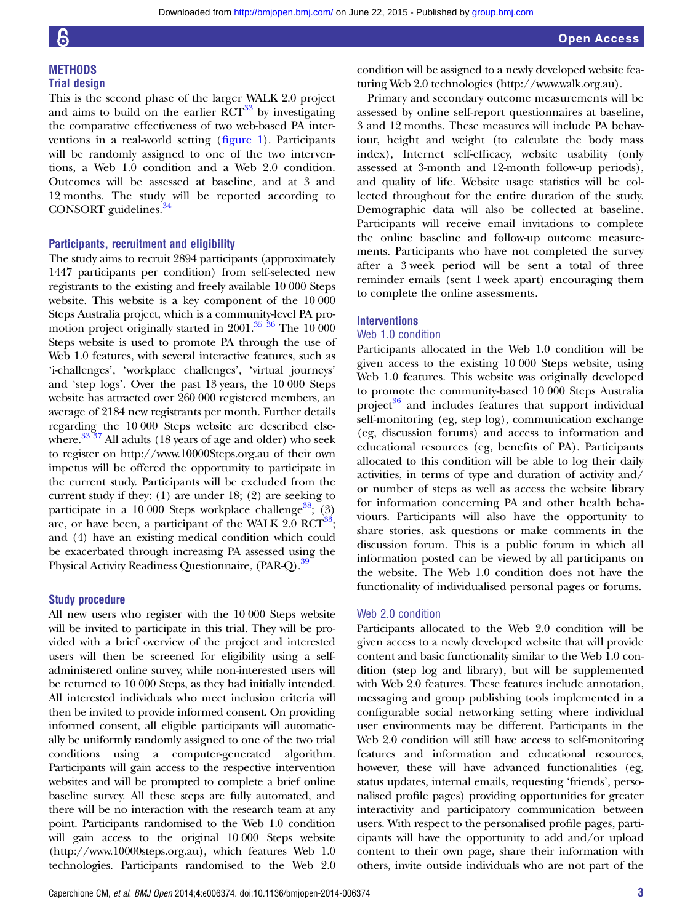#### **METHODS** Trial design

This is the second phase of the larger WALK 2.0 project and aims to build on the earlier  $\mathrm{RCT}^{33}$  $\mathrm{RCT}^{33}$  $\mathrm{RCT}^{33}$  by investigating the comparative effectiveness of two web-based PA interventions in a real-world setting (fi[gure 1](#page-3-0)). Participants will be randomly assigned to one of the two interventions, a Web 1.0 condition and a Web 2.0 condition. Outcomes will be assessed at baseline, and at 3 and 12 months. The study will be reported according to CONSORT guidelines.<sup>[34](#page-6-0)</sup>

#### Participants, recruitment and eligibility

The study aims to recruit 2894 participants (approximately 1447 participants per condition) from self-selected new registrants to the existing and freely available 10 000 Steps website. This website is a key component of the 10 000 Steps Australia project, which is a community-level PA promotion project originally started in 2001[.35 36](#page-6-0) The 10 000 Steps website is used to promote PA through the use of Web 1.0 features, with several interactive features, such as 'i-challenges', 'workplace challenges', 'virtual journeys' and 'step logs'. Over the past 13 years, the 10 000 Steps website has attracted over 260 000 registered members, an average of 2184 new registrants per month. Further details regarding the 10 000 Steps website are described else-where.<sup>[33 37](#page-6-0)</sup> All adults (18 years of age and older) who seek to register on<http://www.10000Steps.org.au> of their own impetus will be offered the opportunity to participate in the current study. Participants will be excluded from the current study if they: (1) are under 18; (2) are seeking to participate in a 10 000 Steps workplace challenge<sup>38</sup>; (3) are, or have been, a participant of the WALK 2.0  $\text{RCT}^{33}$ ; and (4) have an existing medical condition which could be exacerbated through increasing PA assessed using the Physical Activity Readiness Questionnaire, (PAR-Q).<sup>39</sup>

### Study procedure

All new users who register with the 10 000 Steps website will be invited to participate in this trial. They will be provided with a brief overview of the project and interested users will then be screened for eligibility using a selfadministered online survey, while non-interested users will be returned to 10 000 Steps, as they had initially intended. All interested individuals who meet inclusion criteria will then be invited to provide informed consent. On providing informed consent, all eligible participants will automatically be uniformly randomly assigned to one of the two trial conditions using a computer-generated algorithm. Participants will gain access to the respective intervention websites and will be prompted to complete a brief online baseline survey. All these steps are fully automated, and there will be no interaction with the research team at any point. Participants randomised to the Web 1.0 condition will gain access to the original 10 000 Steps website [\(http://www.10000steps.org.au\)](http://www.10000steps.org.au), which features Web 1.0 technologies. Participants randomised to the Web 2.0

condition will be assigned to a newly developed website featuring Web 2.0 technologies [\(http://www.walk.org.au](http://www.walk.org.au)).

Primary and secondary outcome measurements will be assessed by online self-report questionnaires at baseline, 3 and 12 months. These measures will include PA behaviour, height and weight (to calculate the body mass index), Internet self-efficacy, website usability (only assessed at 3-month and 12-month follow-up periods), and quality of life. Website usage statistics will be collected throughout for the entire duration of the study. Demographic data will also be collected at baseline. Participants will receive email invitations to complete the online baseline and follow-up outcome measurements. Participants who have not completed the survey after a 3 week period will be sent a total of three reminder emails (sent 1 week apart) encouraging them to complete the online assessments.

#### **Interventions**

#### Web 1.0 condition

Participants allocated in the Web 1.0 condition will be given access to the existing 10 000 Steps website, using Web 1.0 features. This website was originally developed to promote the community-based 10 000 Steps Australia project $36$  and includes features that support individual self-monitoring (eg, step log), communication exchange (eg, discussion forums) and access to information and educational resources (eg, benefits of PA). Participants allocated to this condition will be able to log their daily activities, in terms of type and duration of activity and/ or number of steps as well as access the website library for information concerning PA and other health behaviours. Participants will also have the opportunity to share stories, ask questions or make comments in the discussion forum. This is a public forum in which all information posted can be viewed by all participants on the website. The Web 1.0 condition does not have the functionality of individualised personal pages or forums.

#### Web 2.0 condition

Participants allocated to the Web 2.0 condition will be given access to a newly developed website that will provide content and basic functionality similar to the Web 1.0 condition (step log and library), but will be supplemented with Web 2.0 features. These features include annotation, messaging and group publishing tools implemented in a configurable social networking setting where individual user environments may be different. Participants in the Web 2.0 condition will still have access to self-monitoring features and information and educational resources, however, these will have advanced functionalities (eg, status updates, internal emails, requesting 'friends', personalised profile pages) providing opportunities for greater interactivity and participatory communication between users. With respect to the personalised profile pages, participants will have the opportunity to add and/or upload content to their own page, share their information with others, invite outside individuals who are not part of the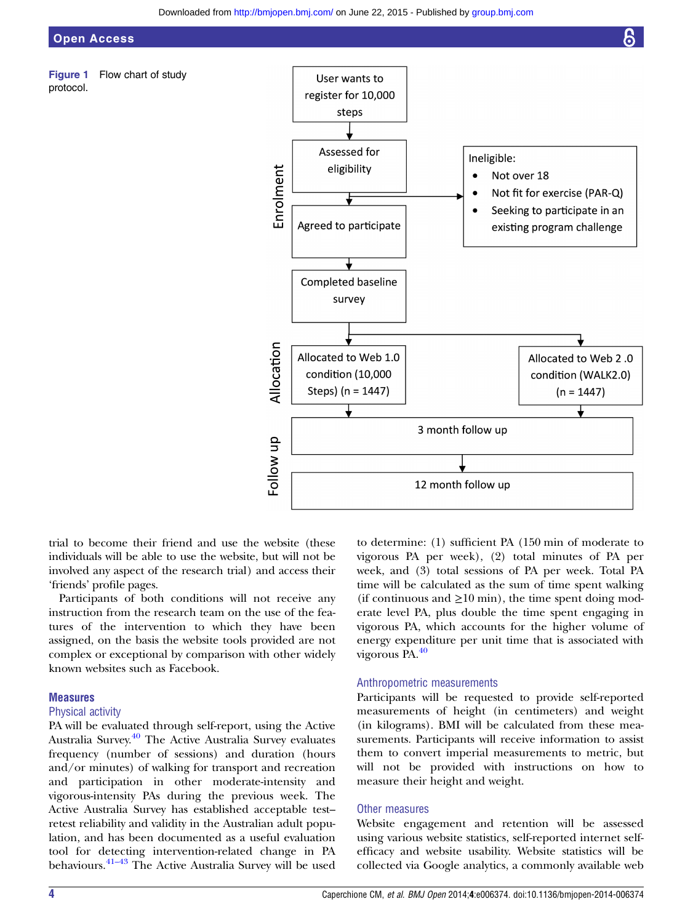<span id="page-3-0"></span>

Figure 1 Flow chart of study protocol.



trial to become their friend and use the website (these individuals will be able to use the website, but will not be involved any aspect of the research trial) and access their 'friends' profile pages.

Participants of both conditions will not receive any instruction from the research team on the use of the features of the intervention to which they have been assigned, on the basis the website tools provided are not complex or exceptional by comparison with other widely known websites such as Facebook.

#### **Measures**

#### Physical activity

PA will be evaluated through self-report, using the Active Australia Survey.[40](#page-6-0) The Active Australia Survey evaluates frequency (number of sessions) and duration (hours and/or minutes) of walking for transport and recreation and participation in other moderate-intensity and vigorous-intensity PAs during the previous week. The Active Australia Survey has established acceptable test– retest reliability and validity in the Australian adult population, and has been documented as a useful evaluation tool for detecting intervention-related change in PA behaviours. $41-43$  $41-43$  The Active Australia Survey will be used to determine: (1) sufficient PA (150 min of moderate to vigorous PA per week), (2) total minutes of PA per week, and (3) total sessions of PA per week. Total PA time will be calculated as the sum of time spent walking (if continuous and  $\geq 10$  min), the time spent doing moderate level PA, plus double the time spent engaging in vigorous PA, which accounts for the higher volume of energy expenditure per unit time that is associated with vigorous PA.[40](#page-6-0)

#### Anthropometric measurements

Participants will be requested to provide self-reported measurements of height (in centimeters) and weight (in kilograms). BMI will be calculated from these measurements. Participants will receive information to assist them to convert imperial measurements to metric, but will not be provided with instructions on how to measure their height and weight.

#### Other measures

Website engagement and retention will be assessed using various website statistics, self-reported internet selfefficacy and website usability. Website statistics will be collected via Google analytics, a commonly available web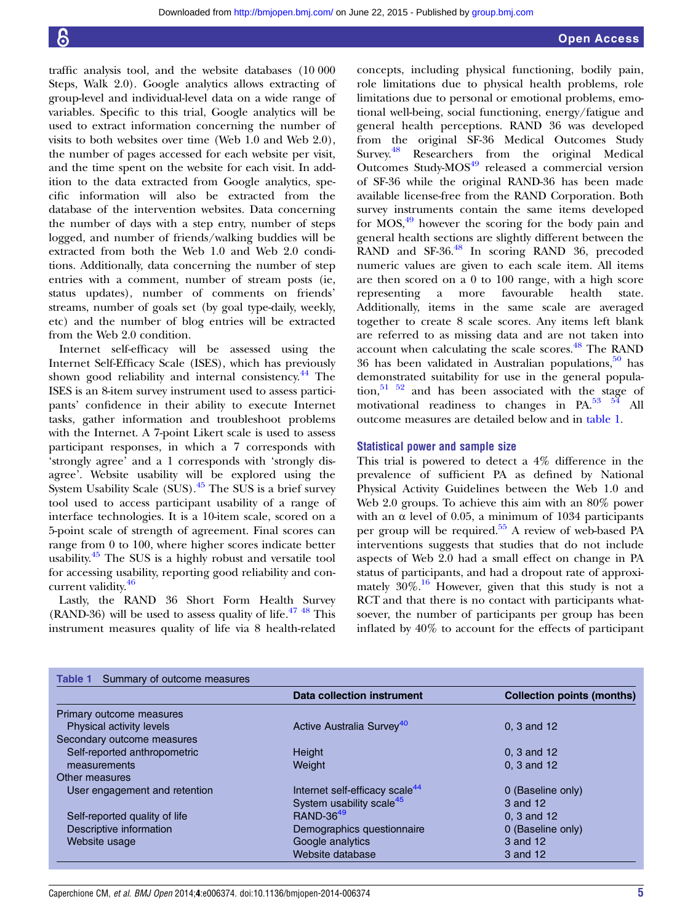traffic analysis tool, and the website databases (10 000 Steps, Walk 2.0). Google analytics allows extracting of group-level and individual-level data on a wide range of variables. Specific to this trial, Google analytics will be used to extract information concerning the number of visits to both websites over time (Web 1.0 and Web 2.0), the number of pages accessed for each website per visit, and the time spent on the website for each visit. In addition to the data extracted from Google analytics, specific information will also be extracted from the database of the intervention websites. Data concerning the number of days with a step entry, number of steps logged, and number of friends/walking buddies will be extracted from both the Web 1.0 and Web 2.0 conditions. Additionally, data concerning the number of step entries with a comment, number of stream posts (ie, status updates), number of comments on friends' streams, number of goals set (by goal type-daily, weekly, etc) and the number of blog entries will be extracted from the Web 2.0 condition.

Internet self-efficacy will be assessed using the Internet Self-Efficacy Scale (ISES), which has previously shown good reliability and internal consistency.[44](#page-6-0) The ISES is an 8-item survey instrument used to assess participants' confidence in their ability to execute Internet tasks, gather information and troubleshoot problems with the Internet. A 7-point Likert scale is used to assess participant responses, in which a 7 corresponds with 'strongly agree' and a 1 corresponds with 'strongly disagree'. Website usability will be explored using the System Usability Scale  $(SUS)$ .<sup>[45](#page-6-0)</sup> The SUS is a brief survey tool used to access participant usability of a range of interface technologies. It is a 10-item scale, scored on a 5-point scale of strength of agreement. Final scores can range from 0 to 100, where higher scores indicate better usability.<sup>[45](#page-6-0)</sup> The SUS is a highly robust and versatile tool for accessing usability, reporting good reliability and con-current validity.<sup>[46](#page-6-0)</sup>

Lastly, the RAND 36 Short Form Health Survey (RAND-36) will be used to assess quality of life. $4748$  This instrument measures quality of life via 8 health-related

concepts, including physical functioning, bodily pain, role limitations due to physical health problems, role limitations due to personal or emotional problems, emotional well-being, social functioning, energy/fatigue and general health perceptions. RAND 36 was developed from the original SF-36 Medical Outcomes Study Survey.<sup>48</sup> Researchers from the original Medical Outcomes Study-MOS<sup>[49](#page-6-0)</sup> released a commercial version of SF-36 while the original RAND-36 has been made available license-free from the RAND Corporation. Both survey instruments contain the same items developed for  $MOS<sub>19</sub><sup>49</sup>$  $MOS<sub>19</sub><sup>49</sup>$  $MOS<sub>19</sub><sup>49</sup>$  however the scoring for the body pain and general health sections are slightly different between the RAND and  $SF-36.<sup>48</sup>$  In scoring RAND 36, precoded numeric values are given to each scale item. All items are then scored on a 0 to 100 range, with a high score representing a more favourable health state. Additionally, items in the same scale are averaged together to create 8 scale scores. Any items left blank are referred to as missing data and are not taken into account when calculating the scale scores.<sup>[48](#page-6-0)</sup> The RAND 36 has been validated in Australian populations,  $50$  has demonstrated suitability for use in the general popula- $\[\text{tion}, \frac{51}{2}, \frac{52}{2}\]$  and has been associated with the stage of motivational readiness to changes in PA. $^{53}$   $^{54}$  All outcome measures are detailed below and in table 1.

#### Statistical power and sample size

This trial is powered to detect a 4% difference in the prevalence of sufficient PA as defined by National Physical Activity Guidelines between the Web 1.0 and Web 2.0 groups. To achieve this aim with an 80% power with an  $\alpha$  level of 0.05, a minimum of 1034 participants per group will be required.[55](#page-6-0) A review of web-based PA interventions suggests that studies that do not include aspects of Web 2.0 had a small effect on change in PA status of participants, and had a dropout rate of approximately  $30\%$ .<sup>[16](#page-6-0)</sup> However, given that this study is not a RCT and that there is no contact with participants whatsoever, the number of participants per group has been inflated by 40% to account for the effects of participant

|                               | Data collection instrument                 | <b>Collection points (months)</b> |
|-------------------------------|--------------------------------------------|-----------------------------------|
| Primary outcome measures      |                                            |                                   |
| Physical activity levels      | Active Australia Survey <sup>40</sup>      | 0. 3 and 12                       |
| Secondary outcome measures    |                                            |                                   |
| Self-reported anthropometric  | Height                                     | 0. 3 and 12                       |
| measurements                  | Weight                                     | 0. 3 and 12                       |
| Other measures                |                                            |                                   |
| User engagement and retention | Internet self-efficacy scale <sup>44</sup> | 0 (Baseline only)                 |
|                               | System usability scale <sup>45</sup>       | 3 and 12                          |
| Self-reported quality of life | <b>RAND-3649</b>                           | 0. 3 and 12                       |
| Descriptive information       | Demographics questionnaire                 | 0 (Baseline only)                 |
| Website usage                 | Google analytics                           | 3 and 12                          |
|                               | Website database                           | 3 and 12                          |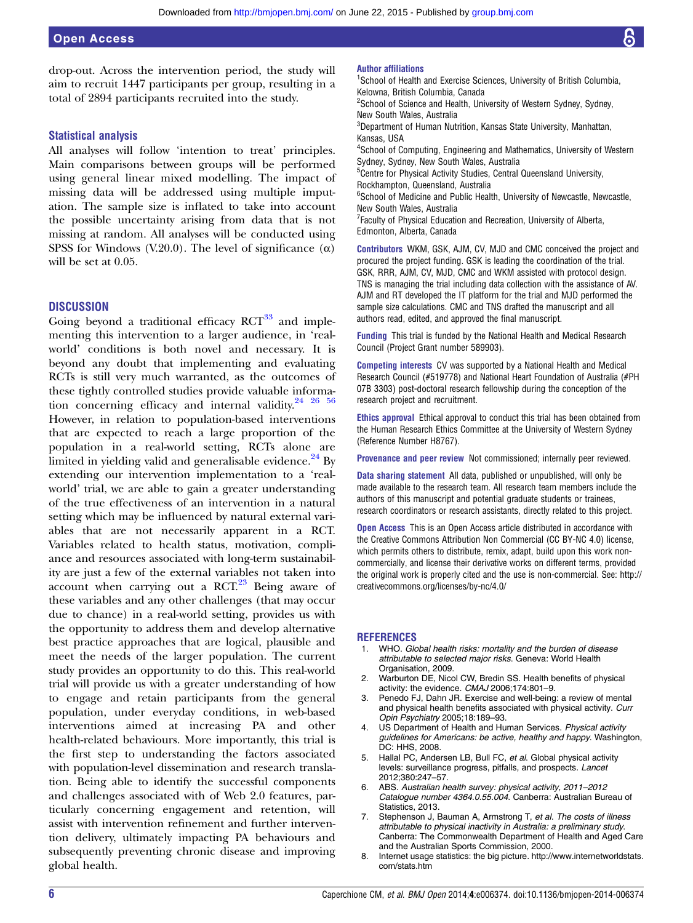## <span id="page-5-0"></span>Open Access

drop-out. Across the intervention period, the study will aim to recruit 1447 participants per group, resulting in a total of 2894 participants recruited into the study.

#### Statistical analysis

All analyses will follow 'intention to treat' principles. Main comparisons between groups will be performed using general linear mixed modelling. The impact of missing data will be addressed using multiple imputation. The sample size is inflated to take into account the possible uncertainty arising from data that is not missing at random. All analyses will be conducted using SPSS for Windows (V.20.0). The level of significance  $(\alpha)$ will be set at 0.05.

#### **DISCUSSION**

Going beyond a traditional efficacy  $RCT^{33}$  $RCT^{33}$  $RCT^{33}$  and implementing this intervention to a larger audience, in 'realworld' conditions is both novel and necessary. It is beyond any doubt that implementing and evaluating RCTs is still very much warranted, as the outcomes of these tightly controlled studies provide valuable information concerning efficacy and internal validity. $24^{24}$   $26^{56}$ However, in relation to population-based interventions that are expected to reach a large proportion of the population in a real-world setting, RCTs alone are limited in yielding valid and generalisable evidence.<sup>[24](#page-6-0)</sup> By extending our intervention implementation to a 'realworld' trial, we are able to gain a greater understanding of the true effectiveness of an intervention in a natural setting which may be influenced by natural external variables that are not necessarily apparent in a RCT. Variables related to health status, motivation, compliance and resources associated with long-term sustainability are just a few of the external variables not taken into account when carrying out a  $RCT<sup>23</sup>$  $RCT<sup>23</sup>$  $RCT<sup>23</sup>$  Being aware of these variables and any other challenges (that may occur due to chance) in a real-world setting, provides us with the opportunity to address them and develop alternative best practice approaches that are logical, plausible and meet the needs of the larger population. The current study provides an opportunity to do this. This real-world trial will provide us with a greater understanding of how to engage and retain participants from the general population, under everyday conditions, in web-based interventions aimed at increasing PA and other health-related behaviours. More importantly, this trial is the first step to understanding the factors associated with population-level dissemination and research translation. Being able to identify the successful components and challenges associated with of Web 2.0 features, particularly concerning engagement and retention, will assist with intervention refinement and further intervention delivery, ultimately impacting PA behaviours and subsequently preventing chronic disease and improving global health.

<sup>1</sup>School of Health and Exercise Sciences, University of British Columbia, Kelowna, British Columbia, Canada <sup>2</sup>School of Science and Health, University of Western Sydney, Sydney,

New South Wales, Australia

<sup>3</sup>Department of Human Nutrition, Kansas State University, Manhattan, Kansas, USA

4 School of Computing, Engineering and Mathematics, University of Western Sydney, Sydney, New South Wales, Australia

<sup>5</sup> Centre for Physical Activity Studies, Central Queensland University, Rockhampton, Queensland, Australia

6 School of Medicine and Public Health, University of Newcastle, Newcastle, New South Wales, Australia

<sup>7</sup> Faculty of Physical Education and Recreation, University of Alberta, Edmonton, Alberta, Canada

Contributors WKM, GSK, AJM, CV, MJD and CMC conceived the project and procured the project funding. GSK is leading the coordination of the trial. GSK, RRR, AJM, CV, MJD, CMC and WKM assisted with protocol design. TNS is managing the trial including data collection with the assistance of AV. AJM and RT developed the IT platform for the trial and MJD performed the sample size calculations. CMC and TNS drafted the manuscript and all authors read, edited, and approved the final manuscript.

Funding This trial is funded by the National Health and Medical Research Council (Project Grant number 589903).

Competing interests CV was supported by a National Health and Medical Research Council (#519778) and National Heart Foundation of Australia (#PH 07B 3303) post-doctoral research fellowship during the conception of the research project and recruitment.

Ethics approval Ethical approval to conduct this trial has been obtained from the Human Research Ethics Committee at the University of Western Sydney (Reference Number H8767).

Provenance and peer review Not commissioned; internally peer reviewed.

Data sharing statement All data, published or unpublished, will only be made available to the research team. All research team members include the authors of this manuscript and potential graduate students or trainees, research coordinators or research assistants, directly related to this project.

Open Access This is an Open Access article distributed in accordance with the Creative Commons Attribution Non Commercial (CC BY-NC 4.0) license, which permits others to distribute, remix, adapt, build upon this work noncommercially, and license their derivative works on different terms, provided the original work is properly cited and the use is non-commercial. See: [http://](http://creativecommons.org/licenses/by-nc/4.0/) [creativecommons.org/licenses/by-nc/4.0/](http://creativecommons.org/licenses/by-nc/4.0/)

#### REFERENCES

- 1. WHO. Global health risks: mortality and the burden of disease attributable to selected major risks. Geneva: World Health Organisation, 2009.
- 2. Warburton DE, Nicol CW, Bredin SS. Health benefits of physical activity: the evidence. CMAJ 2006;174:801–9.
- 3. Penedo FJ, Dahn JR. Exercise and well-being: a review of mental and physical health benefits associated with physical activity. Curr Opin Psychiatry 2005;18:189–93.
- 4. US Department of Health and Human Services. Physical activity guidelines for Americans: be active, healthy and happy. Washington, DC: HHS, 2008.
- 5. Hallal PC, Andersen LB, Bull FC, et al. Global physical activity levels: surveillance progress, pitfalls, and prospects. Lancet 2012;380:247–57.
- 6. ABS. Australian health survey: physical activity, 2011–2012 Catalogue number 4364.0.55.004. Canberra: Australian Bureau of Statistics, 2013.
- 7. Stephenson J, Bauman A, Armstrong T, et al. The costs of illness attributable to physical inactivity in Australia: a preliminary study. Canberra: The Commonwealth Department of Health and Aged Care and the Australian Sports Commission, 2000.
- 8. Internet usage statistics: the big picture. [http://www.internetworldstats.](http://www.internetworldstats.com/stats.htm) [com/stats.htm](http://www.internetworldstats.com/stats.htm)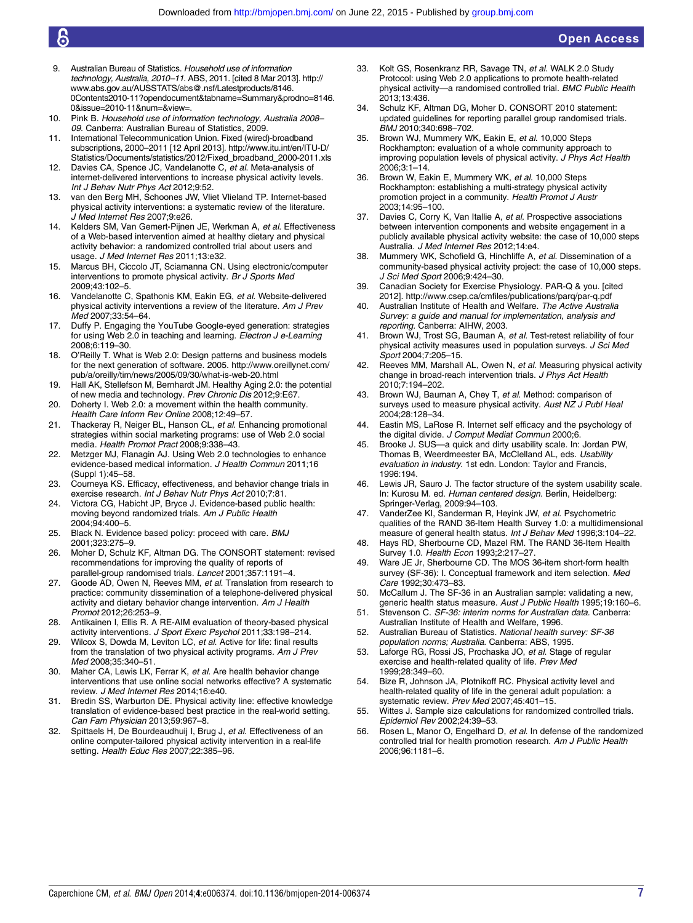- <span id="page-6-0"></span>9. Australian Bureau of Statistics. Household use of information technology, Australia, 2010–11. ABS, 2011. [cited 8 Mar 2013]. [http://](http://www.abs.gov.au/AUSSTATS/abs@.nsf/Latestproducts/8146.0Contents2010-11?opendocument&tabname=Summary&prodno=8146.0&issue=2010-11&num=&view=) [www.abs.gov.au/AUSSTATS/abs@.nsf/Latestproducts/8146.](http://www.abs.gov.au/AUSSTATS/abs@.nsf/Latestproducts/8146.0Contents2010-11?opendocument&tabname=Summary&prodno=8146.0&issue=2010-11&num=&view=) [0Contents2010-11?opendocument&tabname=Summary&prodno=8146.](http://www.abs.gov.au/AUSSTATS/abs@.nsf/Latestproducts/8146.0Contents2010-11?opendocument&tabname=Summary&prodno=8146.0&issue=2010-11&num=&view=) [0&issue=2010-11&num=&view=](http://www.abs.gov.au/AUSSTATS/abs@.nsf/Latestproducts/8146.0Contents2010-11?opendocument&tabname=Summary&prodno=8146.0&issue=2010-11&num=&view=).
- 10. Pink B. Household use of information technology, Australia 2008– 09. Canberra: Australian Bureau of Statistics, 2009.
- 11. International Telecommunication Union. Fixed (wired)-broadband subscriptions, 2000–2011 [12 April 2013]. [http://www.itu.int/en/ITU-D/](http://www.itu.int/en/ITU-D/Statistics/Documents/statistics/2012/Fixed_broadband_2000-2011.xls) [Statistics/Documents/statistics/2012/Fixed\\_broadband\\_2000-2011.xls](http://www.itu.int/en/ITU-D/Statistics/Documents/statistics/2012/Fixed_broadband_2000-2011.xls)
- 12. Davies CA, Spence JC, Vandelanotte C, et al. Meta-analysis of internet-delivered interventions to increase physical activity levels. Int J Behav Nutr Phys Act 2012;9:52.
- 13. van den Berg MH, Schoones JW, Vliet Vlieland TP. Internet-based physical activity interventions: a systematic review of the literature. J Med Internet Res 2007;9:e26.
- Kelders SM, Van Gemert-Pijnen JE, Werkman A, et al. Effectiveness of a Web-based intervention aimed at healthy dietary and physical activity behavior: a randomized controlled trial about users and usage. J Med Internet Res 2011;13:e32.
- 15. Marcus BH, Ciccolo JT, Sciamanna CN. Using electronic/computer interventions to promote physical activity. Br J Sports Med 2009;43:102–5.
- 16. Vandelanotte C, Spathonis KM, Eakin EG, et al. Website-delivered physical activity interventions a review of the literature. Am J Prev Med 2007;33:54–64.
- Duffy P. Engaging the YouTube Google-eyed generation: strategies for using Web 2.0 in teaching and learning. Electron J e-Learning 2008;6:119–30.
- 18. O'Reilly T. What is Web 2.0: Design patterns and business models for the next generation of software. 2005. [http://www.oreillynet.com/](http://www.oreillynet.com/pub/a/oreilly/tim/news/2005/09/30/what-is-web-20.html) [pub/a/oreilly/tim/news/2005/09/30/what-is-web-20.html](http://www.oreillynet.com/pub/a/oreilly/tim/news/2005/09/30/what-is-web-20.html)
- 19. Hall AK, Stellefson M, Bernhardt JM. Healthy Aging 2.0: the potential of new media and technology. Prev Chronic Dis 2012;9:E67.
- 20. Doherty I. Web 2.0: a movement within the health community. Health Care Inform Rev Online 2008;12:49–57.
- 21. Thackeray R, Neiger BL, Hanson CL, et al. Enhancing promotional strategies within social marketing programs: use of Web 2.0 social media. Health Promot Pract 2008;9:338–43.
- 22. Metzger MJ, Flanagin AJ. Using Web 2.0 technologies to enhance evidence-based medical information. J Health Commun 2011;16 (Suppl 1):45–58.
- 23. Courneya KS. Efficacy, effectiveness, and behavior change trials in exercise research. Int J Behav Nutr Phys Act 2010;7:81.
- 24. Victora CG, Habicht JP, Bryce J. Evidence-based public health: moving beyond randomized trials. Am J Public Health 2004;94:400–5.
- 25. Black N. Evidence based policy: proceed with care. BMJ 2001;323:275–9.
- 26. Moher D, Schulz KF, Altman DG. The CONSORT statement: revised recommendations for improving the quality of reports of parallel-group randomised trials. Lancet 2001;357:1191–4.
- 27. Goode AD, Owen N, Reeves MM, et al. Translation from research to practice: community dissemination of a telephone-delivered physical activity and dietary behavior change intervention. Am J Health Promot 2012;26:253–9.
- 28. Antikainen I, Ellis R. A RE-AIM evaluation of theory-based physical activity interventions. J Sport Exerc Psychol 2011;33:198-214.
- 29. Wilcox S, Dowda M, Leviton LC, et al. Active for life: final results from the translation of two physical activity programs. Am J Prev Med 2008;35:340–51.
- 30. Maher CA, Lewis LK, Ferrar K, et al. Are health behavior change interventions that use online social networks effective? A systematic review. J Med Internet Res 2014;16:e40.
- 31. Bredin SS, Warburton DE. Physical activity line: effective knowledge translation of evidence-based best practice in the real-world setting. Can Fam Physician 2013;59:967–8.
- 32. Spittaels H, De Bourdeaudhuij I, Brug J, et al. Effectiveness of an online computer-tailored physical activity intervention in a real-life setting. Health Educ Res 2007;22:385–96.
- 33. Kolt GS, Rosenkranz RR, Savage TN, et al. WALK 2.0 Study Protocol: using Web 2.0 applications to promote health-related physical activity—a randomised controlled trial. BMC Public Health 2013;13:436.
- 34. Schulz KF, Altman DG, Moher D. CONSORT 2010 statement: updated guidelines for reporting parallel group randomised trials. BMJ 2010;340:698–702.
- 35. Brown WJ, Mummery WK, Eakin E, et al. 10,000 Steps Rockhampton: evaluation of a whole community approach to improving population levels of physical activity. J Phys Act Health 2006;3:1–14.
- Brown W, Eakin E, Mummery WK, et al. 10,000 Steps Rockhampton: establishing a multi-strategy physical activity promotion project in a community. Health Promot J Austr 2003;14:95–100.
- 37. Davies C, Corry K, Van Itallie A, et al. Prospective associations between intervention components and website engagement in a publicly available physical activity website: the case of 10,000 steps Australia. J Med Internet Res 2012;14:e4.
- 38. Mummery WK, Schofield G, Hinchliffe A, et al. Dissemination of a community-based physical activity project: the case of 10,000 steps. J Sci Med Sport 2006;9:424–30.
- 39. Canadian Society for Exercise Physiology. PAR-Q & you. [cited 2012].<http://www.csep.ca/cmfiles/publications/parq/par-q.pdf>
- 40. Australian Institute of Health and Welfare. The Active Australia Survey: a guide and manual for implementation, analysis and reporting. Canberra: AIHW, 2003.
- 41. Brown WJ, Trost SG, Bauman A, et al. Test-retest reliability of four physical activity measures used in population surveys. J Sci Med Sport 2004;7:205–15.
- Reeves MM, Marshall AL, Owen N, et al. Measuring physical activity change in broad-reach intervention trials. J Phys Act Health 2010;7:194–202.
- 43. Brown WJ, Bauman A, Chey T, et al. Method: comparison of surveys used to measure physical activity. Aust NZ J Publ Heal 2004;28:128–34.
- 44. Eastin MS, LaRose R. Internet self efficacy and the psychology of the digital divide. J Comput Mediat Commun 2000;6.
- 45. Brooke J. SUS—a quick and dirty usability scale. In: Jordan PW, Thomas B, Weerdmeester BA, McClelland AL, eds. Usability evaluation in industry. 1st edn. London: Taylor and Francis, 1996:194.
- 46. Lewis JR, Sauro J. The factor structure of the system usability scale. In: Kurosu M. ed. Human centered design. Berlin, Heidelberg: Springer-Verlag, 2009:94–103.
- 47. VanderZee KI, Sanderman R, Heyink JW, et al. Psychometric qualities of the RAND 36-Item Health Survey 1.0: a multidimensional measure of general health status. Int J Behav Med 1996;3:104-22.
- 48. Hays RD, Sherbourne CD, Mazel RM. The RAND 36-Item Health Survey 1.0. Health Econ 1993;2:217–27.
- 49. Ware JE Jr, Sherbourne CD. The MOS 36-item short-form health survey (SF-36): I. Conceptual framework and item selection. Med Care 1992;30:473–83.
- 50. McCallum J. The SF-36 in an Australian sample: validating a new, generic health status measure. Aust J Public Health 1995;19:160-6.
- 51. Stevenson C. SF-36: interim norms for Australian data. Canberra: Australian Institute of Health and Welfare, 1996.
- 52. Australian Bureau of Statistics. National health survey: SF-36 population norms; Australia. Canberra: ABS, 1995.
- 53. Laforge RG, Rossi JS, Prochaska JO, et al. Stage of regular exercise and health-related quality of life. Prev Med 1999;28:349–60.
- Bize R, Johnson JA, Plotnikoff RC. Physical activity level and health-related quality of life in the general adult population: a systematic review. Prev Med 2007;45:401–15.
- 55. Wittes J. Sample size calculations for randomized controlled trials. Epidemiol Rev 2002;24:39–53.
- 56. Rosen L, Manor O, Engelhard D, et al. In defense of the randomized controlled trial for health promotion research. Am J Public Health 2006;96:1181–6.